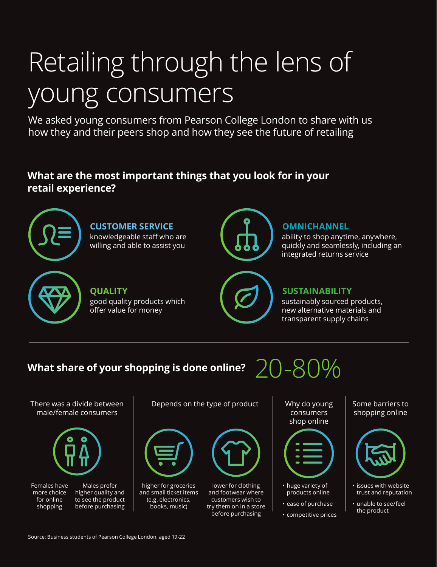# Retailing through the lens of young consumers

We asked young consumers from Pearson College London to share with us how they and their peers shop and how they see the future of retailing

# **What are the most important things that you look for in your retail experience?**



ability to shop anytime, anywhere, quickly and seamlessly, including an integrated returns service

### **SUSTAINABILITY**

sustainably sourced products, new alternative materials and transparent supply chains

# **What share of your shopping is done online?**

There was a divide between male/female consumers



Females have more choice for online shopping



Depends on the type of product  $\parallel$  Why do young



higher for groceries and small ticket items (e.g. electronics, books, music)



lower for clothing and footwear where customers wish to try them on in a store before purchasing

consumers shop online

20-80%



- huge variety of products online
- ease of purchase
- competitive prices

Some barriers to shopping online



- issues with website trust and reputation
- unable to see/feel the product